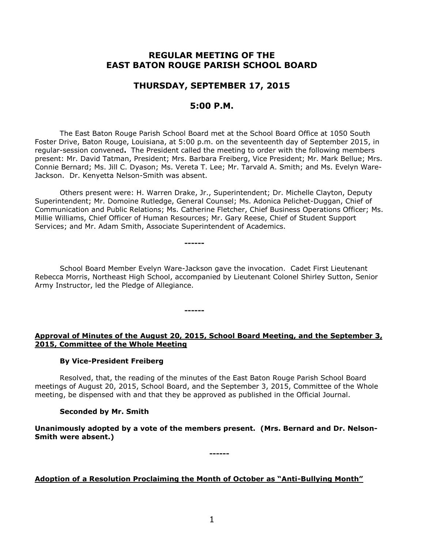## **REGULAR MEETING OF THE EAST BATON ROUGE PARISH SCHOOL BOARD**

## **THURSDAY, SEPTEMBER 17, 2015**

## **5:00 P.M.**

The East Baton Rouge Parish School Board met at the School Board Office at 1050 South Foster Drive, Baton Rouge, Louisiana, at 5:00 p.m. on the seventeenth day of September 2015, in regular-session convened**.** The President called the meeting to order with the following members present: Mr. David Tatman, President; Mrs. Barbara Freiberg, Vice President; Mr. Mark Bellue; Mrs. Connie Bernard; Ms. Jill C. Dyason; Ms. Vereta T. Lee; Mr. Tarvald A. Smith; and Ms. Evelyn Ware-Jackson. Dr. Kenyetta Nelson-Smith was absent.

Others present were: H. Warren Drake, Jr., Superintendent; Dr. Michelle Clayton, Deputy Superintendent; Mr. Domoine Rutledge, General Counsel; Ms. Adonica Pelichet-Duggan, Chief of Communication and Public Relations; Ms. Catherine Fletcher, Chief Business Operations Officer; Ms. Millie Williams, Chief Officer of Human Resources; Mr. Gary Reese, Chief of Student Support Services; and Mr. Adam Smith, Associate Superintendent of Academics.

School Board Member Evelyn Ware-Jackson gave the invocation. Cadet First Lieutenant Rebecca Morris, Northeast High School, accompanied by Lieutenant Colonel Shirley Sutton, Senior Army Instructor, led the Pledge of Allegiance.

**------**

**------**

## **Approval of Minutes of the August 20, 2015, School Board Meeting, and the September 3, 2015, Committee of the Whole Meeting**

## **By Vice-President Freiberg**

Resolved, that, the reading of the minutes of the East Baton Rouge Parish School Board meetings of August 20, 2015, School Board, and the September 3, 2015, Committee of the Whole meeting, be dispensed with and that they be approved as published in the Official Journal.

# **Seconded by Mr. Smith**

**Unanimously adopted by a vote of the members present. (Mrs. Bernard and Dr. Nelson-Smith were absent.)**

**------**

**Adoption of a Resolution Proclaiming the Month of October as "Anti-Bullying Month"**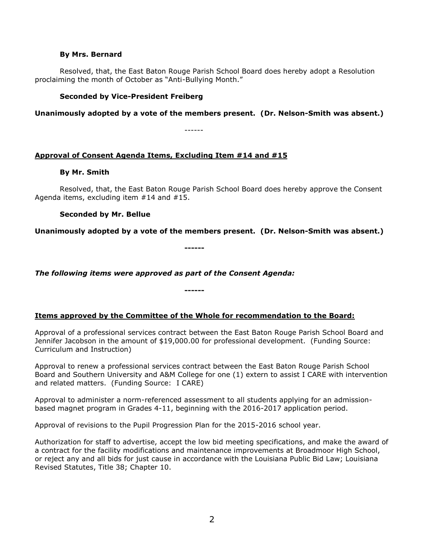#### **By Mrs. Bernard**

Resolved, that, the East Baton Rouge Parish School Board does hereby adopt a Resolution proclaiming the month of October as "Anti-Bullying Month."

### **Seconded by Vice-President Freiberg**

**Unanimously adopted by a vote of the members present. (Dr. Nelson-Smith was absent.)**

------

## **Approval of Consent Agenda Items, Excluding Item #14 and #15**

### **By Mr. Smith**

Resolved, that, the East Baton Rouge Parish School Board does hereby approve the Consent Agenda items, excluding item #14 and #15.

### **Seconded by Mr. Bellue**

**Unanimously adopted by a vote of the members present. (Dr. Nelson-Smith was absent.)**

**------**

*The following items were approved as part of the Consent Agenda:*

### **Items approved by the Committee of the Whole for recommendation to the Board:**

**------**

Approval of a professional services contract between the East Baton Rouge Parish School Board and Jennifer Jacobson in the amount of \$19,000.00 for professional development. (Funding Source: Curriculum and Instruction)

Approval to renew a professional services contract between the East Baton Rouge Parish School Board and Southern University and A&M College for one (1) extern to assist I CARE with intervention and related matters. (Funding Source: I CARE)

Approval to administer a norm-referenced assessment to all students applying for an admissionbased magnet program in Grades 4-11, beginning with the 2016-2017 application period.

Approval of revisions to the Pupil Progression Plan for the 2015-2016 school year.

Authorization for staff to advertise, accept the low bid meeting specifications, and make the award of a contract for the facility modifications and maintenance improvements at Broadmoor High School, or reject any and all bids for just cause in accordance with the Louisiana Public Bid Law; Louisiana Revised Statutes, Title 38; Chapter 10.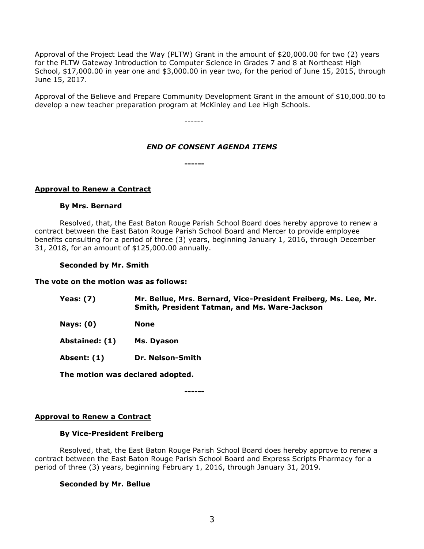Approval of the Project Lead the Way (PLTW) Grant in the amount of \$20,000.00 for two (2) years for the PLTW Gateway Introduction to Computer Science in Grades 7 and 8 at Northeast High School, \$17,000.00 in year one and \$3,000.00 in year two, for the period of June 15, 2015, through June 15, 2017.

Approval of the Believe and Prepare Community Development Grant in the amount of \$10,000.00 to develop a new teacher preparation program at McKinley and Lee High Schools.

------

## *END OF CONSENT AGENDA ITEMS*

**------**

### **Approval to Renew a Contract**

### **By Mrs. Bernard**

Resolved, that, the East Baton Rouge Parish School Board does hereby approve to renew a contract between the East Baton Rouge Parish School Board and Mercer to provide employee benefits consulting for a period of three (3) years, beginning January 1, 2016, through December 31, 2018, for an amount of \$125,000.00 annually.

#### **Seconded by Mr. Smith**

#### **The vote on the motion was as follows:**

| Yeas: (7) | Mr. Bellue, Mrs. Bernard, Vice-President Freiberg, Ms. Lee, Mr. |
|-----------|-----------------------------------------------------------------|
|           | <b>Smith, President Tatman, and Ms. Ware-Jackson</b>            |

**Nays: (0) None**

**Abstained: (1) Ms. Dyason**

**Absent: (1) Dr. Nelson-Smith**

**The motion was declared adopted.**

**------**

### **Approval to Renew a Contract**

### **By Vice-President Freiberg**

Resolved, that, the East Baton Rouge Parish School Board does hereby approve to renew a contract between the East Baton Rouge Parish School Board and Express Scripts Pharmacy for a period of three (3) years, beginning February 1, 2016, through January 31, 2019.

### **Seconded by Mr. Bellue**